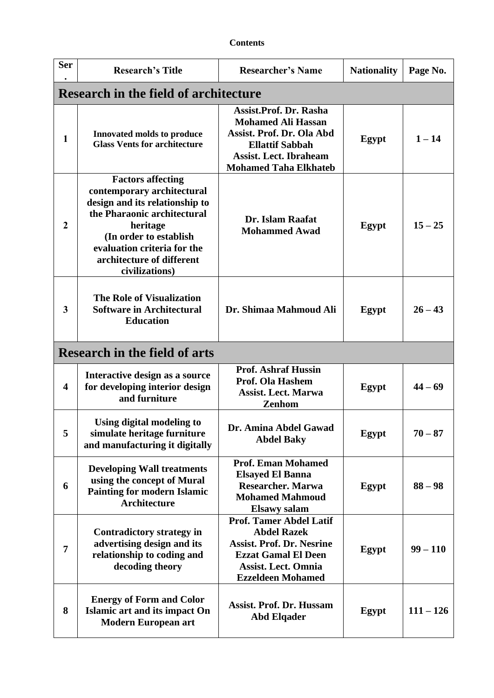| <b>Contents</b> |
|-----------------|
|-----------------|

| <b>Ser</b>              | <b>Research's Title</b>                                                                                                                                                                                                                     | <b>Researcher's Name</b>                                                                                                                                                           | <b>Nationality</b> | Page No.    |  |  |
|-------------------------|---------------------------------------------------------------------------------------------------------------------------------------------------------------------------------------------------------------------------------------------|------------------------------------------------------------------------------------------------------------------------------------------------------------------------------------|--------------------|-------------|--|--|
|                         | <b>Research in the field of architecture</b>                                                                                                                                                                                                |                                                                                                                                                                                    |                    |             |  |  |
| $\mathbf{1}$            | <b>Innovated molds to produce</b><br><b>Glass Vents for architecture</b>                                                                                                                                                                    | <b>Assist.Prof. Dr. Rasha</b><br><b>Mohamed Ali Hassan</b><br>Assist. Prof. Dr. Ola Abd<br><b>Ellattif Sabbah</b><br><b>Assist. Lect. Ibraheam</b><br><b>Mohamed Taha Elkhateb</b> | Egypt              | $1 - 14$    |  |  |
| $\overline{2}$          | <b>Factors affecting</b><br>contemporary architectural<br>design and its relationship to<br>the Pharaonic architectural<br>heritage<br>(In order to establish<br>evaluation criteria for the<br>architecture of different<br>civilizations) | Dr. Islam Raafat<br><b>Mohammed Awad</b>                                                                                                                                           | Egypt              | $15 - 25$   |  |  |
| 3                       | <b>The Role of Visualization</b><br><b>Software in Architectural</b><br><b>Education</b>                                                                                                                                                    | Dr. Shimaa Mahmoud Ali                                                                                                                                                             | Egypt              | $26 - 43$   |  |  |
|                         | <b>Research in the field of arts</b>                                                                                                                                                                                                        |                                                                                                                                                                                    |                    |             |  |  |
| $\overline{\mathbf{4}}$ | Interactive design as a source<br>for developing interior design<br>and furniture                                                                                                                                                           | <b>Prof. Ashraf Hussin</b><br><b>Prof. Ola Hashem</b><br><b>Assist. Lect. Marwa</b><br>Zenhom                                                                                      | Egypt              | $44 - 69$   |  |  |
| 5                       | Using digital modeling to<br>simulate heritage furniture<br>and manufacturing it digitally                                                                                                                                                  | Dr. Amina Abdel Gawad<br><b>Abdel Baky</b>                                                                                                                                         | Egypt              | $70 - 87$   |  |  |
| 6                       | <b>Developing Wall treatments</b><br>using the concept of Mural<br><b>Painting for modern Islamic</b><br><b>Architecture</b>                                                                                                                | <b>Prof. Eman Mohamed</b><br><b>Elsayed El Banna</b><br><b>Researcher. Marwa</b><br><b>Mohamed Mahmoud</b><br><b>Elsawy</b> salam                                                  | Egypt              | $88 - 98$   |  |  |
| 7                       | <b>Contradictory strategy in</b><br>advertising design and its<br>relationship to coding and<br>decoding theory                                                                                                                             | <b>Prof. Tamer Abdel Latif</b><br><b>Abdel Razek</b><br><b>Assist. Prof. Dr. Nesrine</b><br><b>Ezzat Gamal El Deen</b><br><b>Assist. Lect. Omnia</b><br><b>Ezzeldeen Mohamed</b>   | Egypt              | $99 - 110$  |  |  |
| 8                       | <b>Energy of Form and Color</b><br>Islamic art and its impact On<br><b>Modern European art</b>                                                                                                                                              | <b>Assist. Prof. Dr. Hussam</b><br><b>Abd Elqader</b>                                                                                                                              | Egypt              | $111 - 126$ |  |  |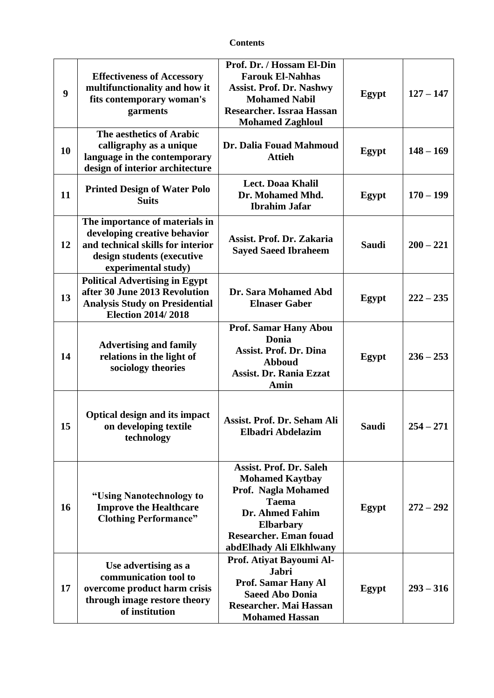## **Contents**

| 9  | <b>Effectiveness of Accessory</b><br>multifunctionality and how it<br>fits contemporary woman's<br>garments                                              | Prof. Dr. / Hossam El-Din<br><b>Farouk El-Nahhas</b><br><b>Assist. Prof. Dr. Nashwy</b><br><b>Mohamed Nabil</b><br>Researcher. Issraa Hassan<br><b>Mohamed Zaghloul</b>                                   | Egypt        | $127 - 147$ |
|----|----------------------------------------------------------------------------------------------------------------------------------------------------------|-----------------------------------------------------------------------------------------------------------------------------------------------------------------------------------------------------------|--------------|-------------|
| 10 | The aesthetics of Arabic<br>calligraphy as a unique<br>language in the contemporary<br>design of interior architecture                                   | Dr. Dalia Fouad Mahmoud<br><b>Attieh</b>                                                                                                                                                                  | Egypt        | $148 - 169$ |
| 11 | <b>Printed Design of Water Polo</b><br><b>Suits</b>                                                                                                      | <b>Lect. Doaa Khalil</b><br>Dr. Mohamed Mhd.<br><b>Ibrahim Jafar</b>                                                                                                                                      | Egypt        | $170 - 199$ |
| 12 | The importance of materials in<br>developing creative behavior<br>and technical skills for interior<br>design students (executive<br>experimental study) | Assist. Prof. Dr. Zakaria<br><b>Sayed Saeed Ibraheem</b>                                                                                                                                                  | <b>Saudi</b> | $200 - 221$ |
| 13 | <b>Political Advertising in Egypt</b><br>after 30 June 2013 Revolution<br><b>Analysis Study on Presidential</b><br><b>Election 2014/2018</b>             | Dr. Sara Mohamed Abd<br><b>Elnaser Gaber</b>                                                                                                                                                              | Egypt        | $222 - 235$ |
| 14 | <b>Advertising and family</b><br>relations in the light of<br>sociology theories                                                                         | <b>Prof. Samar Hany Abou</b><br>Donia<br><b>Assist. Prof. Dr. Dina</b><br><b>Abboud</b><br><b>Assist. Dr. Rania Ezzat</b><br>Amin                                                                         | Egypt        | $236 - 253$ |
| 15 | <b>Optical design and its impact</b><br>on developing textile<br>technology                                                                              | Assist. Prof. Dr. Seham Ali<br>Elbadri Abdelazim                                                                                                                                                          | Saudi        | $254 - 271$ |
| 16 | "Using Nanotechnology to<br><b>Improve the Healthcare</b><br><b>Clothing Performance"</b>                                                                | <b>Assist. Prof. Dr. Saleh</b><br><b>Mohamed Kaytbay</b><br>Prof. Nagla Mohamed<br><b>Taema</b><br><b>Dr. Ahmed Fahim</b><br><b>Elbarbary</b><br><b>Researcher. Eman fouad</b><br>abdElhady Ali Elkhlwany | Egypt        | $272 - 292$ |
| 17 | Use advertising as a<br>communication tool to<br>overcome product harm crisis<br>through image restore theory<br>of institution                          | Prof. Atiyat Bayoumi Al-<br><b>Jabri</b><br>Prof. Samar Hany Al<br><b>Saeed Abo Donia</b><br><b>Researcher. Mai Hassan</b><br><b>Mohamed Hassan</b>                                                       | Egypt        | $293 - 316$ |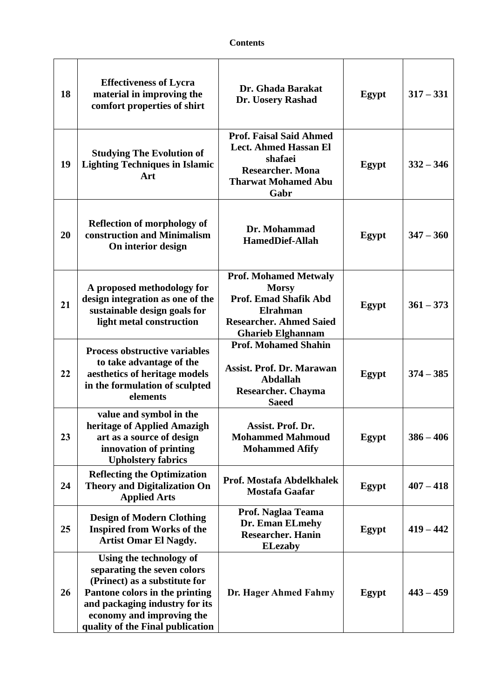## **Contents**

| 18 | <b>Effectiveness of Lycra</b><br>material in improving the<br>comfort properties of shirt                                                                                                                                    | Dr. Ghada Barakat<br>Dr. Uosery Rashad                                                                                                                        | Egypt        | $317 - 331$ |
|----|------------------------------------------------------------------------------------------------------------------------------------------------------------------------------------------------------------------------------|---------------------------------------------------------------------------------------------------------------------------------------------------------------|--------------|-------------|
| 19 | <b>Studying The Evolution of</b><br><b>Lighting Techniques in Islamic</b><br>Art                                                                                                                                             | <b>Prof. Faisal Said Ahmed</b><br><b>Lect. Ahmed Hassan El</b><br>shafaei<br><b>Researcher. Mona</b><br><b>Tharwat Mohamed Abu</b><br>Gabr                    | Egypt        | $332 - 346$ |
| 20 | <b>Reflection of morphology of</b><br>construction and Minimalism<br>On interior design                                                                                                                                      | Dr. Mohammad<br><b>HamedDief-Allah</b>                                                                                                                        | Egypt        | $347 - 360$ |
| 21 | A proposed methodology for<br>design integration as one of the<br>sustainable design goals for<br>light metal construction                                                                                                   | <b>Prof. Mohamed Metwaly</b><br><b>Morsy</b><br><b>Prof. Emad Shafik Abd</b><br><b>Elrahman</b><br><b>Researcher. Ahmed Saied</b><br><b>Gharieb Elghannam</b> | Egypt        | $361 - 373$ |
| 22 | <b>Process obstructive variables</b><br>to take advantage of the<br>aesthetics of heritage models<br>in the formulation of sculpted<br>elements                                                                              | <b>Prof. Mohamed Shahin</b><br><b>Assist. Prof. Dr. Marawan</b><br><b>Abdallah</b><br><b>Researcher. Chayma</b><br><b>Saeed</b>                               | Egypt        | $374 - 385$ |
| 23 | value and symbol in the<br>heritage of Applied Amazigh<br>art as a source of design<br>innovation of printing<br><b>Upholstery fabrics</b>                                                                                   | Assist. Prof. Dr.<br><b>Mohammed Mahmoud</b><br><b>Mohammed Afify</b>                                                                                         | <b>Egypt</b> | $386 - 406$ |
| 24 | <b>Reflecting the Optimization</b><br><b>Theory and Digitalization On</b><br><b>Applied Arts</b>                                                                                                                             | Prof. Mostafa Abdelkhalek<br><b>Mostafa Gaafar</b>                                                                                                            | Egypt        | $407 - 418$ |
| 25 | <b>Design of Modern Clothing</b><br><b>Inspired from Works of the</b><br><b>Artist Omar El Nagdy.</b>                                                                                                                        | Prof. Naglaa Teama<br>Dr. Eman ELmehy<br><b>Researcher. Hanin</b><br><b>ELezaby</b>                                                                           | Egypt        | $419 - 442$ |
| 26 | Using the technology of<br>separating the seven colors<br>(Prinect) as a substitute for<br>Pantone colors in the printing<br>and packaging industry for its<br>economy and improving the<br>quality of the Final publication | Dr. Hager Ahmed Fahmy                                                                                                                                         | Egypt        | $443 - 459$ |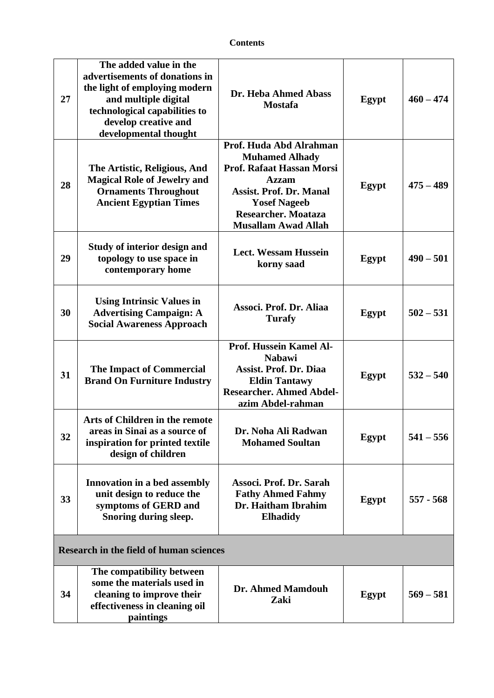| 27                                             | The added value in the<br>advertisements of donations in<br>the light of employing modern<br>and multiple digital<br>technological capabilities to<br>develop creative and<br>developmental thought | Dr. Heba Ahmed Abass<br><b>Mostafa</b>                                                                                                                                                                      | Egypt | $460 - 474$ |
|------------------------------------------------|-----------------------------------------------------------------------------------------------------------------------------------------------------------------------------------------------------|-------------------------------------------------------------------------------------------------------------------------------------------------------------------------------------------------------------|-------|-------------|
| 28                                             | The Artistic, Religious, And<br><b>Magical Role of Jewelry and</b><br><b>Ornaments Throughout</b><br><b>Ancient Egyptian Times</b>                                                                  | Prof. Huda Abd Alrahman<br><b>Muhamed Alhady</b><br>Prof. Rafaat Hassan Morsi<br>Azzam<br><b>Assist. Prof. Dr. Manal</b><br><b>Yosef Nageeb</b><br><b>Researcher. Moataza</b><br><b>Musallam Awad Allah</b> | Egypt | $475 - 489$ |
| 29                                             | <b>Study of interior design and</b><br>topology to use space in<br>contemporary home                                                                                                                | <b>Lect. Wessam Hussein</b><br>korny saad                                                                                                                                                                   | Egypt | $490 - 501$ |
| 30                                             | <b>Using Intrinsic Values in</b><br><b>Advertising Campaign: A</b><br><b>Social Awareness Approach</b>                                                                                              | Associ. Prof. Dr. Aliaa<br><b>Turafy</b>                                                                                                                                                                    | Egypt | $502 - 531$ |
| 31                                             | <b>The Impact of Commercial</b><br><b>Brand On Furniture Industry</b>                                                                                                                               | Prof. Hussein Kamel Al-<br><b>Nabawi</b><br><b>Assist. Prof. Dr. Diaa</b><br><b>Eldin Tantawy</b><br><b>Researcher. Ahmed Abdel-</b><br>azim Abdel-rahman                                                   | Egypt | $532 - 540$ |
| 32                                             | Arts of Children in the remote<br>areas in Sinai as a source of<br>inspiration for printed textile<br>design of children                                                                            | Dr. Noha Ali Radwan<br><b>Mohamed Soultan</b>                                                                                                                                                               | Egypt | $541 - 556$ |
| 33                                             | Innovation in a bed assembly<br>unit design to reduce the<br>symptoms of GERD and<br>Snoring during sleep.                                                                                          | Associ. Prof. Dr. Sarah<br><b>Fathy Ahmed Fahmy</b><br>Dr. Haitham Ibrahim<br><b>Elhadidy</b>                                                                                                               | Egypt | $557 - 568$ |
| <b>Research in the field of human sciences</b> |                                                                                                                                                                                                     |                                                                                                                                                                                                             |       |             |
| 34                                             | The compatibility between<br>some the materials used in<br>cleaning to improve their<br>effectiveness in cleaning oil<br>paintings                                                                  | Dr. Ahmed Mamdouh<br>Zaki                                                                                                                                                                                   | Egypt | $569 - 581$ |